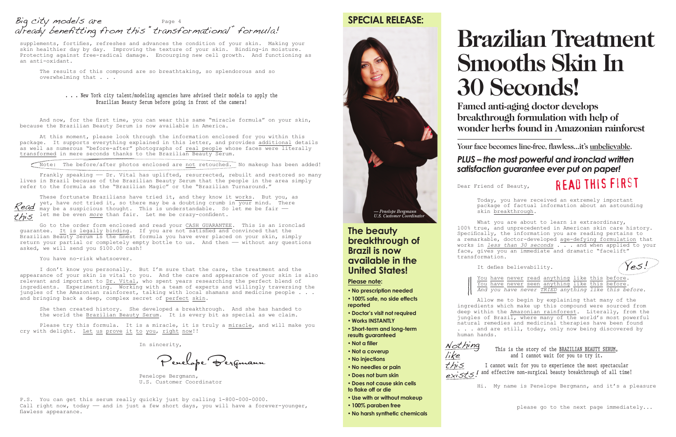# **Brazilian Treatment Smooths Skin In 30 Seconds!**

**Famed anti-aging doctor develops breakthrough formulation with help of wonder herbs found in Amazonian rainforest**

Your face becomes line-free, flawless...it's unbelievable.

# *PLUS – the most powerful and ironclad written satisfaction guarantee ever put on paper!*

Dear Friend of Beauty,

Today, you have received an extremely important package of factual information about an astounding skin breakthrough.

What you are about to learn is extraordinary, 100% true, and unprecedented in American skin care history. Specifically, the information you are reading pertains to a remarkable, doctor-developed age-defying formulation that works in *less than 30 seconds* . . . and when applied to your face, gives you an immediate and dramatic "facelift" transformation.



Nothing

I cannot wait for you to experience the most spectacular  $ext{exist}$  and effective non-surgical beauty breakthrough of all time!

It defies believability.

You have never read anything like this before. You have never seen anything like this before. *And you have never TRIED anything like this before.*

Allow me to begin by explaining that many of the ingredients which make up this compound were sourced from deep within the Amazonian rainforest. Literally, from the jungles of Brazil, where many of the world's most powerful natural remedies and medicinal therapies have been found . . . and are still, today, only now being discovered by human hands.

## This is the story of the BRAZILIAN BEAUTY SERUM, and I cannot wait for you to try it.

Hi. My name is Penelope Bergmann, and it's a pleasure

please go to the next page immediately...

# **SPECIAL RELEASE:**

## **The beauty breakthrough of Brazil is now available in the United States!**

**Please note:**

Frankly speaking - Dr. Vital has uplifted, resurrected, rebuilt and restored so many lives in Brazil because of the Brazilian Beauty Serum that the people in the area simply refer to the formula as the "Brazilian Magic" or the "Brazilian Turnaround."

- • **No prescription needed**
- • **100% safe, no side effects**
- • **Doctor's visit not required**
- • **Works INSTANTLY**

**reported**

• **Short-term and long-term results guaranteed**

• **Not a filler**

- • **Not a coverup**
- • **No injections**
- • **No needles or pain**
- • **Does not burn skin**
- • **Does not cause skin cells to flake off or die**
- • **Use with or without makeup**
- • **100% paraben free**
- • **No harsh synthetic chemicals**



# rEAd THIS FiRsT

Yes!

like this

supplements, fortifies, refreshes and advances the condition of your skin. Making your skin healthier day by day. Improving the texture of your skin. Binding-in moisture. Protecting against free-radical damage. Encourging new cell growth. And functioning as an anti-oxidant.

The results of this compound are so breathtaking, so splendorous and so overwhelming that . . .

### . . . New York city talent/modeling agencies have advised their models to apply the Brazilian Beauty Serum before going in front of the camera!

# Big city models are a contract to the Page 4 already benefitting from this "transformational" formula!

These fortunate Brazilians have tried it, and they know it works. But you, as yet, have *not* tried it, so there may be a doubting crumb in your mind. There may be a suspicious thought. This is understandable. So let me be fair  $$ let me be even *more* than fair. Let me be crazy-confident. Read this

And now, for the first time, you can wear this same "miracle formula" on your skin, because the Brazilian Beauty Serum is now available in America.

At this moment, please look through the information enclosed for you within this package. It supports everything explained in this letter, and provides additional details as well as numerous "before-after" photographs of real people whose faces were literally transformed in mere seconds thanks to the Brazilian Beauty Serum.

Note: The before/after photos enclosed are not retouched. No makeup has been added!

Go to the order form enclosed and read your CASH GUARANTEE. This is an ironclad guarantee. It is legally binding. If you are not satisfied and convinced that the Brazilian Beauty Serum is the finest formula you have ever placed on your skin, simply return your partial or completely empty bottle to us. And then - without any questions asked, we will send you \$100.00 cash!

You have no-risk whatsoever.

I don't know you personally. But I'm sure that the care, the treatment and the appearance of your skin is vital to you. And the care and appearance of your skin is also relevant and important to Dr. Vital, who spent years researching the perfect blend of ingredients. Experimenting. Working with a team of experts and willingly traversing the jungles of the Amazonian rainforest, talking with local shamans and medicine people . . . and bringing back a deep, complex secret of perfect skin.

She then created history. She developed a breakthrough. And she has handed to the world the Brazilian Beauty Serum. It is every bit as special as we claim.

Please try this formula. It is a miracle, it is truly a miracle, and will make you cry with delight. Let us prove it to you, right now!!

In sincerity,

Penelope Be rgmann

 Penelope Bergmann, U.S. Customer Coordinator

P.S. You can get this serum really quickly just by calling 1-800-000-0000. Call right now, today — and in just a few short days, you will have a forever-younger, flawless appearance.